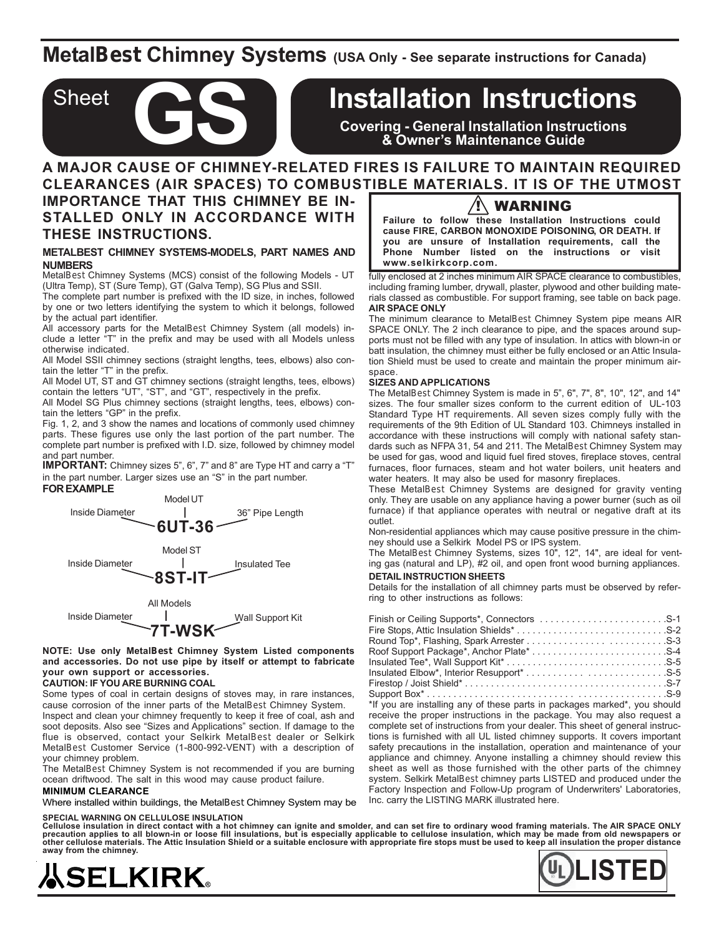## **MetalBest Chimney Systems (USA Only - See separate instructions for Canada)**

# **Installation Instructions**

**Covering - General Installation Instructions & Owner's Maintenance Guide**

## **A MAJOR CAUSE OF CHIMNEY-RELATED FIRES IS FAILURE TO MAINTAIN REQUIRED CLEARANCES (AIR SPACES) TO COMBUSTIBLE MATERIALS. IT IS OF THE UTMOST**

**IMPORTANCE THAT THIS CHIMNEY BE IN-STALLED ONLY IN ACCORDANCE WITH THESE INSTRUCTIONS.**

Sheet

#### **METALBEST CHIMNEY SYSTEMS-MODELS, PART NAMES AND NUMBERS**

MetalBest Chimney Systems (MCS) consist of the following Models - UT (Ultra Temp), ST (Sure Temp), GT (Galva Temp), SG Plus and SSII.

The complete part number is prefixed with the ID size, in inches, followed by one or two letters identifying the system to which it belongs, followed by the actual part identifier.

All accessory parts for the MetalBest Chimney System (all models) include a letter "T" in the prefix and may be used with all Models unless otherwise indicated.

All Model SSII chimney sections (straight lengths, tees, elbows) also contain the letter "T" in the prefix.

All Model UT, ST and GT chimney sections (straight lengths, tees, elbows) contain the letters "UT", "ST", and "GT", respectively in the prefix.

All Model SG Plus chimney sections (straight lengths, tees, elbows) contain the letters "GP" in the prefix.

Fig. 1, 2, and 3 show the names and locations of commonly used chimney parts. These figures use only the last portion of the part number. The complete part number is prefixed with I.D. size, followed by chimney model and part number.

**IMPORTANT:** Chimney sizes 5", 6", 7" and 8" are Type HT and carry a "T" in the part number. Larger sizes use an "S" in the part number.



**NOTE: Use only MetalBest Chimney System Listed components and accessories. Do not use pipe by itself or attempt to fabricate your own support or accessories.**

### **CAUTION: IF YOU ARE BURNING COAL**

Some types of coal in certain designs of stoves may, in rare instances, cause corrosion of the inner parts of the MetalBest Chimney System.

Inspect and clean your chimney frequently to keep it free of coal, ash and soot deposits. Also see "Sizes and Applications" section. If damage to the flue is observed, contact your Selkirk MetalBest dealer or Selkirk MetalBest Customer Service (1-800-992-VENT) with a description of your chimney problem.

The MetalBest Chimney System is not recommended if you are burning ocean driftwood. The salt in this wood may cause product failure.

#### **MINIMUM CLEARANCE**

Where installed within buildings, the MetalBest Chimney System may be

#### **SPECIAL WARNING ON CELLULOSE INSULATION**

Cellulose insulation in direct contact with a hot chimney can ignite and smolder, and can set fire to ordinary wood framing materials. The AIR SPACE ONLY<br>precaution applies to all blown-in or loose fill insulations, but is **other cellulose materials. The Attic Insulation Shield or a suitable enclosure with appropriate fire stops must be used to keep all insulation the proper distance away from the chimney.**



## $\overline{\mathbf{?}}$  WARNING

**Failure to follow these Installation Instructions could cause FIRE, CARBON MONOXIDE POISONING, OR DEATH. If you are unsure of Installation requirements, call the Phone Number listed on the instructions or visit www.selkirkcorp.com.**

fully enclosed at 2 inches minimum AIR SPACE clearance to combustibles, including framing lumber, drywall, plaster, plywood and other building materials classed as combustible. For support framing, see table on back page. **AIR SPACE ONLY**

The minimum clearance to MetalBest Chimney System pipe means AIR SPACE ONLY. The 2 inch clearance to pipe, and the spaces around supports must not be filled with any type of insulation. In attics with blown-in or batt insulation, the chimney must either be fully enclosed or an Attic Insulation Shield must be used to create and maintain the proper minimum airspace.

#### **SIZES AND APPLICATIONS**

The MetalBest Chimney System is made in 5", 6", 7", 8", 10", 12", and 14" sizes. The four smaller sizes conform to the current edition of UL-103 Standard Type HT requirements. All seven sizes comply fully with the requirements of the 9th Edition of UL Standard 103. Chimneys installed in accordance with these instructions will comply with national safety standards such as NFPA 31, 54 and 211. The MetalBest Chimney System may be used for gas, wood and liquid fuel fired stoves, fireplace stoves, central furnaces, floor furnaces, steam and hot water boilers, unit heaters and water heaters. It may also be used for masonry fireplaces.

These MetalBest Chimney Systems are designed for gravity venting only. They are usable on any appliance having a power burner (such as oil furnace) if that appliance operates with neutral or negative draft at its outlet.

Non-residential appliances which may cause positive pressure in the chimney should use a Selkirk Model PS or IPS system.

The MetalBest Chimney Systems, sizes 10", 12", 14", are ideal for venting gas (natural and LP), #2 oil, and open front wood burning appliances.

## **DETAIL INSTRUCTION SHEETS**

Details for the installation of all chimney parts must be observed by referring to other instructions as follows:

\*If you are installing any of these parts in packages marked\*, you should receive the proper instructions in the package. You may also request a complete set of instructions from your dealer. This sheet of general instructions is furnished with all UL listed chimney supports. It covers important safety precautions in the installation, operation and maintenance of your appliance and chimney. Anyone installing a chimney should review this sheet as well as those furnished with the other parts of the chimney system. Selkirk MetalBest chimney parts LISTED and produced under the Factory Inspection and Follow-Up program of Underwriters' Laboratories, Inc. carry the LISTING MARK illustrated here.

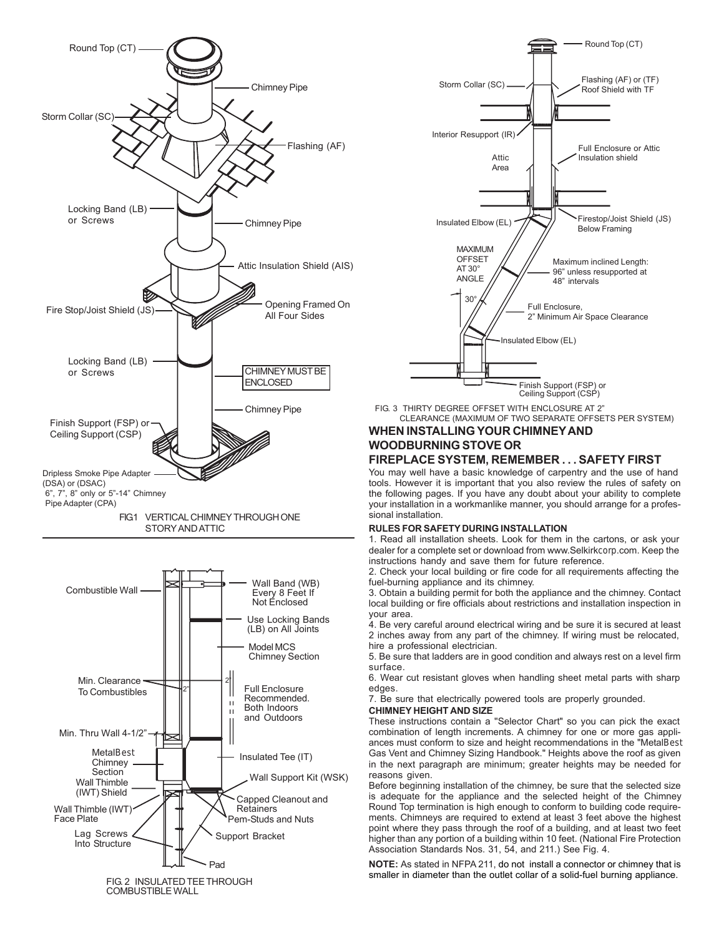





FIG. 3 THIRTY DEGREE OFFSET WITH ENCLOSURE AT 2" CLEARANCE (MAXIMUM OF TWO SEPARATE OFFSETS PER SYSTEM)

## **WHEN INSTALLING YOUR CHIMNEY AND WOODBURNING STOVE OR**

## **FIREPLACE SYSTEM, REMEMBER . . . SAFETY FIRST**

You may well have a basic knowledge of carpentry and the use of hand tools. However it is important that you also review the rules of safety on the following pages. If you have any doubt about your ability to complete your installation in a workmanlike manner, you should arrange for a professional installation.

## **RULES FOR SAFETY DURING INSTALLATION**

1. Read all installation sheets. Look for them in the cartons, or ask your dealer for a complete set or download from www.Selkirkcorp.com. Keep the instructions handy and save them for future reference.

2. Check your local building or fire code for all requirements affecting the fuel-burning appliance and its chimney.

3. Obtain a building permit for both the appliance and the chimney. Contact local building or fire officials about restrictions and installation inspection in your area.

4. Be very careful around electrical wiring and be sure it is secured at least 2 inches away from any part of the chimney. If wiring must be relocated, hire a professional electrician.

5. Be sure that ladders are in good condition and always rest on a level firm surface.

6. Wear cut resistant gloves when handling sheet metal parts with sharp edges.

7. Be sure that electrically powered tools are properly grounded.

## **CHIMNEY HEIGHT AND SIZE**

These instructions contain a ''Selector Chart" so you can pick the exact combination of length increments. A chimney for one or more gas appliances must conform to size and height recommendations in the "MetalBest Gas Vent and Chimney Sizing Handbook." Heights above the roof as given in the next paragraph are minimum; greater heights may be needed for reasons given.

Before beginning installation of the chimney, be sure that the selected size is adequate for the appliance and the selected height of the Chimney Round Top termination is high enough to conform to building code requirements. Chimneys are required to extend at least 3 feet above the highest point where they pass through the roof of a building, and at least two feet higher than any portion of a building within 10 feet. (National Fire Protection Association Standards Nos. 31, 54, and 211.) See Fig. 4.

**NOTE:** As stated in NFPA 211, do not install a connector or chimney that is smaller in diameter than the outlet collar of a solid-fuel burning appliance.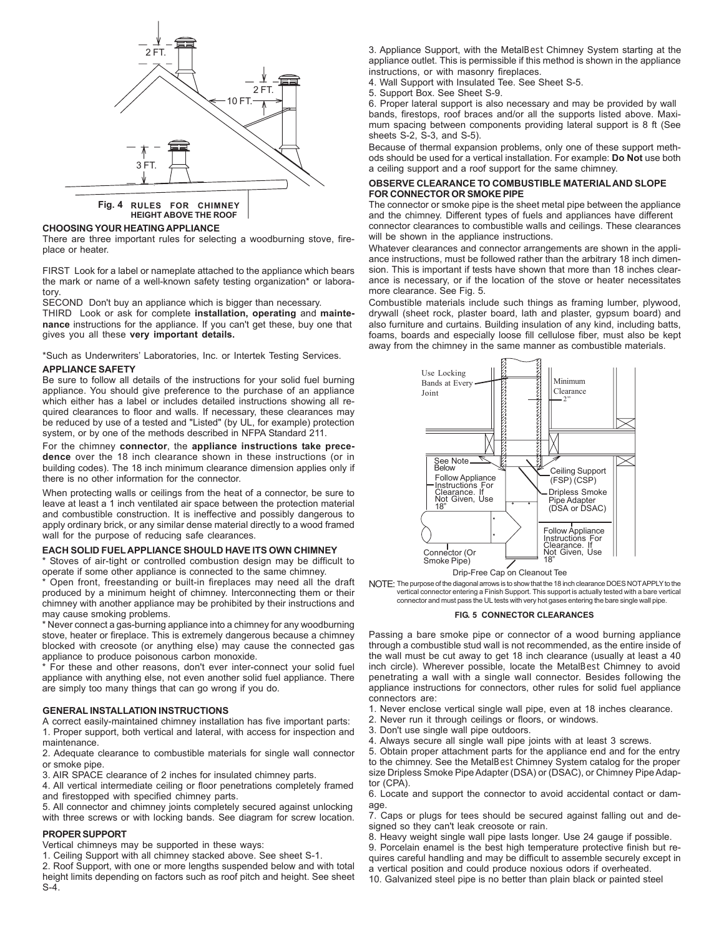

**Fig. 4 RULES FOR CHIMNEY HEIGHT ABOVE THE ROOF**

#### **CHOOSING YOUR HEATING APPLIANCE**

There are three important rules for selecting a woodburning stove, fireplace or heater.

FIRST Look for a label or nameplate attached to the appliance which bears the mark or name of a well-known safety testing organization\* or laboratory.

SECOND Don't buy an appliance which is bigger than necessary.

THIRD Look or ask for complete **installation, operating** and **maintenance** instructions for the appliance. If you can't get these, buy one that gives you all these **very important details.**

\*Such as Underwriters' Laboratories, Inc. or Intertek Testing Services.

#### **APPLIANCE SAFETY**

Be sure to follow all details of the instructions for your solid fuel burning appliance. You should give preference to the purchase of an appliance which either has a label or includes detailed instructions showing all required clearances to floor and walls. If necessary, these clearances may be reduced by use of a tested and "Listed" (by UL, for example) protection system, or by one of the methods described in NFPA Standard 211.

For the chimney **connector**, the **appliance instructions take precedence** over the 18 inch clearance shown in these instructions (or in building codes). The 18 inch minimum clearance dimension applies only if there is no other information for the connector.

When protecting walls or ceilings from the heat of a connector, be sure to leave at least a 1 inch ventilated air space between the protection material and combustible construction. It is ineffective and possibly dangerous to apply ordinary brick, or any similar dense material directly to a wood framed wall for the purpose of reducing safe clearances.

#### **EACH SOLID FUEL APPLIANCE SHOULD HAVE ITS OWN CHIMNEY**

\* Stoves of air-tight or controlled combustion design may be difficult to operate if some other appliance is connected to the same chimney.

\* Open front, freestanding or built-in fireplaces may need all the draft produced by a minimum height of chimney. Interconnecting them or their chimney with another appliance may be prohibited by their instructions and may cause smoking problems.

\* Never connect a gas-burning appliance into a chimney for any woodburning stove, heater or fireplace. This is extremely dangerous because a chimney blocked with creosote (or anything else) may cause the connected gas appliance to produce poisonous carbon monoxide.

\* For these and other reasons, don't ever inter-connect your solid fuel appliance with anything else, not even another solid fuel appliance. There are simply too many things that can go wrong if you do.

#### **GENERAL INSTALLATION INSTRUCTIONS**

A correct easily-maintained chimney installation has five important parts: 1. Proper support, both vertical and lateral, with access for inspection and maintenance.

2. Adequate clearance to combustible materials for single wall connector or smoke pipe.

3. AIR SPACE clearance of 2 inches for insulated chimney parts.

4. All vertical intermediate ceiling or floor penetrations completely framed and firestopped with specified chimney parts.

5. All connector and chimney joints completely secured against unlocking with three screws or with locking bands. See diagram for screw location.

#### **PROPER SUPPORT**

Vertical chimneys may be supported in these ways:

1. Ceiling Support with all chimney stacked above. See sheet S-1.

2. Roof Support, with one or more lengths suspended below and with total height limits depending on factors such as roof pitch and height. See sheet S-4.

3. Appliance Support, with the MetalBest Chimney System starting at the appliance outlet. This is permissible if this method is shown in the appliance instructions, or with masonry fireplaces.

4. Wall Support with Insulated Tee. See Sheet S-5.

5. Support Box. See Sheet S-9.

6. Proper lateral support is also necessary and may be provided by wall bands, firestops, roof braces and/or all the supports listed above. Maximum spacing between components providing lateral support is 8 ft (See sheets S-2, S-3, and S-5).

Because of thermal expansion problems, only one of these support methods should be used for a vertical installation. For example: **Do Not** use both a ceiling support and a roof support for the same chimney.

#### **OBSERVE CLEARANCE TO COMBUSTIBLE MATERIAL AND SLOPE FOR CONNECTOR OR SMOKE PIPE**

The connector or smoke pipe is the sheet metal pipe between the appliance and the chimney. Different types of fuels and appliances have different connector clearances to combustible walls and ceilings. These clearances will be shown in the appliance instructions.

Whatever clearances and connector arrangements are shown in the appliance instructions, must be followed rather than the arbitrary 18 inch dimension. This is important if tests have shown that more than 18 inches clearance is necessary, or if the location of the stove or heater necessitates more clearance. See Fig. 5.

Combustible materials include such things as framing lumber, plywood, drywall (sheet rock, plaster board, lath and plaster, gypsum board) and also furniture and curtains. Building insulation of any kind, including batts, foams, boards and especially loose fill cellulose fiber, must also be kept away from the chimney in the same manner as combustible materials.



Drip-Free Cap on Cleanout Tee

NOTE: The purpose of the diagonal arrows is to show that the 18 inch clearance DOES NOT APPLY to the vertical connector entering a Finish Support. This support is actually tested with a bare vertical connector and must pass the UL tests with very hot gases entering the bare single wall pipe.

#### **FIG. 5 CONNECTOR CLEARANCES**

Passing a bare smoke pipe or connector of a wood burning appliance through a combustible stud wall is not recommended, as the entire inside of the wall must be cut away to get 18 inch clearance (usually at least a 40 inch circle). Wherever possible, locate the MetalBest Chimney to avoid penetrating a wall with a single wall connector. Besides following the appliance instructions for connectors, other rules for solid fuel appliance connectors are:

1. Never enclose vertical single wall pipe, even at 18 inches clearance.

- 2. Never run it through ceilings or floors, or windows.
- 3. Don't use single wall pipe outdoors.
- 4. Always secure all single wall pipe joints with at least 3 screws.

5. Obtain proper attachment parts for the appliance end and for the entry to the chimney. See the MetalBest Chimney System catalog for the proper size Dripless Smoke Pipe Adapter (DSA) or (DSAC), or Chimney Pipe Adaptor (CPA).

6. Locate and support the connector to avoid accidental contact or damage.

7. Caps or plugs for tees should be secured against falling out and designed so they can't leak creosote or rain.

8. Heavy weight single wall pipe lasts longer. Use 24 gauge if possible.

9. Porcelain enamel is the best high temperature protective finish but requires careful handling and may be difficult to assemble securely except in

a vertical position and could produce noxious odors if overheated.

10. Galvanized steel pipe is no better than plain black or painted steel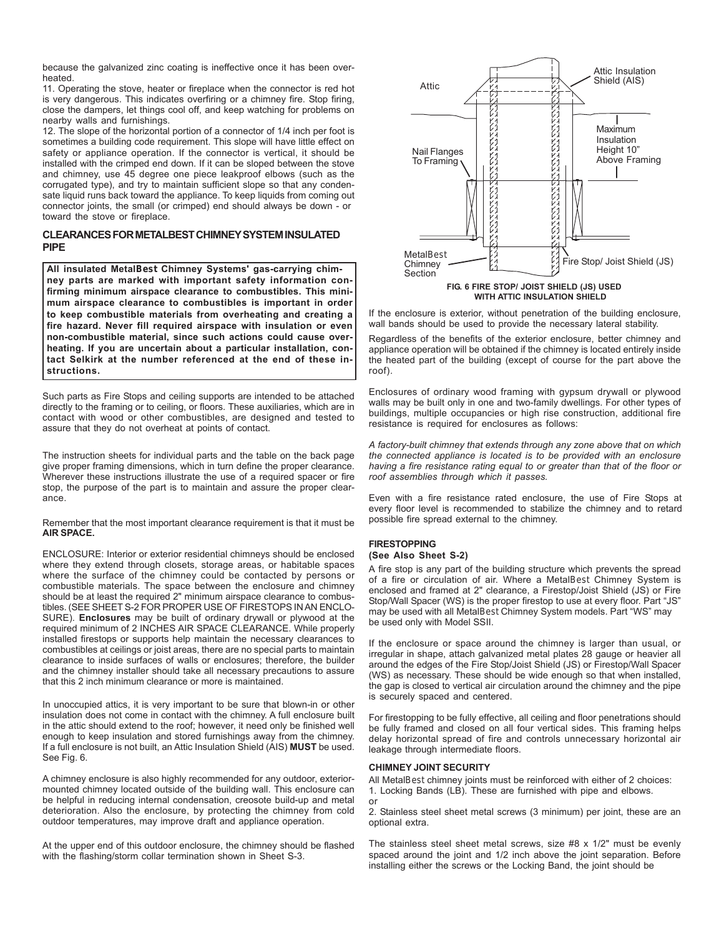because the galvanized zinc coating is ineffective once it has been overheated.

11. Operating the stove, heater or fireplace when the connector is red hot is very dangerous. This indicates overfiring or a chimney fire. Stop firing, close the dampers, let things cool off, and keep watching for problems on nearby walls and furnishings.

12. The slope of the horizontal portion of a connector of 1/4 inch per foot is sometimes a building code requirement. This slope will have little effect on safety or appliance operation. If the connector is vertical, it should be installed with the crimped end down. If it can be sloped between the stove and chimney, use 45 degree one piece leakproof elbows (such as the corrugated type), and try to maintain sufficient slope so that any condensate liquid runs back toward the appliance. To keep liquids from coming out connector joints, the small (or crimped) end should always be down - or toward the stove or fireplace.

### **CLEARANCES FOR METALBEST CHIMNEY SYSTEM INSULATED PIPE**

**All insulated MetalBest Chimney Systems' gas-carrying chimney parts are marked with important safety information confirming minimum airspace clearance to combustibles. This minimum airspace clearance to combustibles is important in order to keep combustible materials from overheating and creating a fire hazard. Never fill required airspace with insulation or even non-combustible material, since such actions could cause overheating. If you are uncertain about a particular installation, contact Selkirk at the number referenced at the end of these instructions.**

Such parts as Fire Stops and ceiling supports are intended to be attached directly to the framing or to ceiling, or floors. These auxiliaries, which are in contact with wood or other combustibles, are designed and tested to assure that they do not overheat at points of contact.

The instruction sheets for individual parts and the table on the back page give proper framing dimensions, which in turn define the proper clearance. Wherever these instructions illustrate the use of a required spacer or fire stop, the purpose of the part is to maintain and assure the proper clearance.

Remember that the most important clearance requirement is that it must be **AIR SPACE.**

ENCLOSURE: Interior or exterior residential chimneys should be enclosed where they extend through closets, storage areas, or habitable spaces where the surface of the chimney could be contacted by persons or combustible materials. The space between the enclosure and chimney should be at least the required 2" minimum airspace clearance to combustibles. (SEE SHEET S-2 FOR PROPER USE OF FIRESTOPS IN AN ENCLO-SURE). **Enclosures** may be built of ordinary drywall or plywood at the required minimum of 2 INCHES AIR SPACE CLEARANCE. While properly installed firestops or supports help maintain the necessary clearances to combustibles at ceilings or joist areas, there are no special parts to maintain clearance to inside surfaces of walls or enclosures; therefore, the builder and the chimney installer should take all necessary precautions to assure that this 2 inch minimum clearance or more is maintained.

In unoccupied attics, it is very important to be sure that blown-in or other insulation does not come in contact with the chimney. A full enclosure built in the attic should extend to the roof; however, it need only be finished well enough to keep insulation and stored furnishings away from the chimney. If a full enclosure is not built, an Attic Insulation Shield (AIS) **MUST** be used. See Fig. 6.

A chimney enclosure is also highly recommended for any outdoor, exteriormounted chimney located outside of the building wall. This enclosure can be helpful in reducing internal condensation, creosote build-up and metal deterioration. Also the enclosure, by protecting the chimney from cold outdoor temperatures, may improve draft and appliance operation.

At the upper end of this outdoor enclosure, the chimney should be flashed with the flashing/storm collar termination shown in Sheet S-3.



If the enclosure is exterior, without penetration of the building enclosure, wall bands should be used to provide the necessary lateral stability.

Regardless of the benefits of the exterior enclosure, better chimney and appliance operation will be obtained if the chimney is located entirely inside the heated part of the building (except of course for the part above the roof).

Enclosures of ordinary wood framing with gypsum drywall or plywood walls may be built only in one and two-family dwellings. For other types of buildings, multiple occupancies or high rise construction, additional fire resistance is required for enclosures as follows:

*A factory-built chimney that extends through any zone above that on which the connected appliance is located is to be provided with an enclosure having a fire resistance rating equal to or greater than that of the floor or roof assemblies through which it passes.*

Even with a fire resistance rated enclosure, the use of Fire Stops at every floor level is recommended to stabilize the chimney and to retard possible fire spread external to the chimney.

#### **FIRESTOPPING (See Also Sheet S-2)**

A fire stop is any part of the building structure which prevents the spread of a fire or circulation of air. Where a MetalBest Chimney System is enclosed and framed at 2" clearance, a Firestop/Joist Shield (JS) or Fire Stop/Wall Spacer (WS) is the proper firestop to use at every floor. Part "JS" may be used with all MetalBest Chimney System models. Part "WS" may be used only with Model SSII.

If the enclosure or space around the chimney is larger than usual, or irregular in shape, attach galvanized metal plates 28 gauge or heavier all around the edges of the Fire Stop/Joist Shield (JS) or Firestop/Wall Spacer (WS) as necessary. These should be wide enough so that when installed, the gap is closed to vertical air circulation around the chimney and the pipe is securely spaced and centered.

For firestopping to be fully effective, all ceiling and floor penetrations should be fully framed and closed on all four vertical sides. This framing helps delay horizontal spread of fire and controls unnecessary horizontal air leakage through intermediate floors.

#### **CHIMNEY JOINT SECURITY**

All MetalBest chimney joints must be reinforced with either of 2 choices: 1. Locking Bands (LB). These are furnished with pipe and elbows. or

2. Stainless steel sheet metal screws (3 minimum) per joint, these are an optional extra.

The stainless steel sheet metal screws, size #8 x 1/2" must be evenly spaced around the joint and 1/2 inch above the joint separation. Before installing either the screws or the Locking Band, the joint should be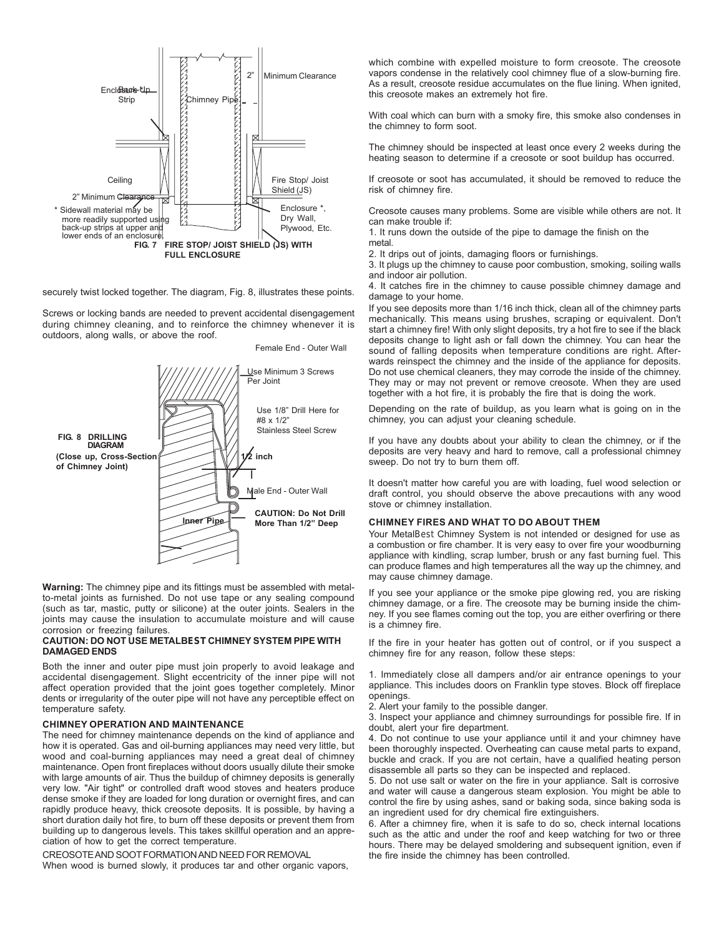

securely twist locked together. The diagram, Fig. 8, illustrates these points.

Screws or locking bands are needed to prevent accidental disengagement during chimney cleaning, and to reinforce the chimney whenever it is outdoors, along walls, or above the roof.



Female End - Outer Wall

**Warning:** The chimney pipe and its fittings must be assembled with metalto-metal joints as furnished. Do not use tape or any sealing compound (such as tar, mastic, putty or silicone) at the outer joints. Sealers in the joints may cause the insulation to accumulate moisture and will cause corrosion or freezing failures.

#### **CAUTION: DO NOT USE METALBEST CHIMNEY SYSTEM PIPE WITH DAMAGED ENDS**

Both the inner and outer pipe must join properly to avoid leakage and accidental disengagement. Slight eccentricity of the inner pipe will not affect operation provided that the joint goes together completely. Minor dents or irregularity of the outer pipe will not have any perceptible effect on temperature safety.

#### **CHIMNEY OPERATION AND MAINTENANCE**

The need for chimney maintenance depends on the kind of appliance and how it is operated. Gas and oil-burning appliances may need very little, but wood and coal-burning appliances may need a great deal of chimney maintenance. Open front fireplaces without doors usually dilute their smoke with large amounts of air. Thus the buildup of chimney deposits is generally very low. "Air tight" or controlled draft wood stoves and heaters produce dense smoke if they are loaded for long duration or overnight fires, and can rapidly produce heavy, thick creosote deposits. It is possible, by having a short duration daily hot fire, to burn off these deposits or prevent them from building up to dangerous levels. This takes skillful operation and an appreciation of how to get the correct temperature.

CREOSOTE AND SOOT FORMATION AND NEED FOR REMOVAL

When wood is burned slowly, it produces tar and other organic vapors,

which combine with expelled moisture to form creosote. The creosote vapors condense in the relatively cool chimney flue of a slow-burning fire. As a result, creosote residue accumulates on the flue lining. When ignited, this creosote makes an extremely hot fire.

With coal which can burn with a smoky fire, this smoke also condenses in the chimney to form soot.

The chimney should be inspected at least once every 2 weeks during the heating season to determine if a creosote or soot buildup has occurred.

If creosote or soot has accumulated, it should be removed to reduce the risk of chimney fire.

Creosote causes many problems. Some are visible while others are not. It can make trouble if:

1. It runs down the outside of the pipe to damage the finish on the metal

2. It drips out of joints, damaging floors or furnishings.

3. It plugs up the chimney to cause poor combustion, smoking, soiling walls and indoor air pollution.

4. It catches fire in the chimney to cause possible chimney damage and damage to your home.

If you see deposits more than 1/16 inch thick, clean all of the chimney parts mechanically. This means using brushes, scraping or equivalent. Don't start a chimney fire! With only slight deposits, try a hot fire to see if the black deposits change to light ash or fall down the chimney. You can hear the sound of falling deposits when temperature conditions are right. Afterwards reinspect the chimney and the inside of the appliance for deposits. Do not use chemical cleaners, they may corrode the inside of the chimney. They may or may not prevent or remove creosote. When they are used together with a hot fire, it is probably the fire that is doing the work.

Depending on the rate of buildup, as you learn what is going on in the chimney, you can adjust your cleaning schedule.

If you have any doubts about your ability to clean the chimney, or if the deposits are very heavy and hard to remove, call a professional chimney sweep. Do not try to burn them off.

It doesn't matter how careful you are with loading, fuel wood selection or draft control, you should observe the above precautions with any wood stove or chimney installation.

#### **CHIMNEY FIRES AND WHAT TO DO ABOUT THEM**

Your MetalBest Chimney System is not intended or designed for use as a combustion or fire chamber. It is very easy to over fire your woodburning appliance with kindling, scrap lumber, brush or any fast burning fuel. This can produce flames and high temperatures all the way up the chimney, and may cause chimney damage.

If you see your appliance or the smoke pipe glowing red, you are risking chimney damage, or a fire. The creosote may be burning inside the chimney. If you see flames coming out the top, you are either overfiring or there is a chimney fire.

If the fire in your heater has gotten out of control, or if you suspect a chimney fire for any reason, follow these steps:

1. Immediately close all dampers and/or air entrance openings to your appliance. This includes doors on Franklin type stoves. Block off fireplace openings.

2. Alert your family to the possible danger.

3. Inspect your appliance and chimney surroundings for possible fire. If in doubt, alert your fire department.

4. Do not continue to use your appliance until it and your chimney have been thoroughly inspected. Overheating can cause metal parts to expand, buckle and crack. If you are not certain, have a qualified heating person disassemble all parts so they can be inspected and replaced.

5. Do not use salt or water on the fire in your appliance. Salt is corrosive and water will cause a dangerous steam explosion. You might be able to control the fire by using ashes, sand or baking soda, since baking soda is an ingredient used for dry chemical fire extinguishers.

6. After a chimney fire, when it is safe to do so, check internal locations such as the attic and under the roof and keep watching for two or three hours. There may be delayed smoldering and subsequent ignition, even if the fire inside the chimney has been controlled.